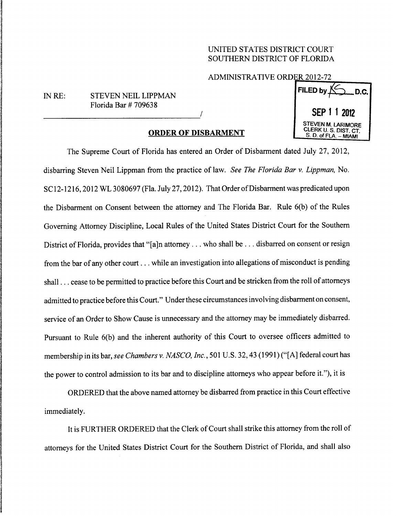## UNITED STATES DISTRICT COURT SOUTHERN DISTRICT OF FLORIDA

ADMINISTRATIVE ORDER 2012-72

## Florida Bar #709638

## ORDER OF DISBARMENT



The Supreme Court of Florida has entered an Order of Disbarment dated July 27, 2012, disbarring Steven Neil Lippman from the practice of law. See The Florida Bar v. Lippman, No. SC12-1216,2012 WL <sup>3080697</sup> (Fla. July 27,2012). That Order of Disbarment was predicated upon the Disbarment on Consent between the attorney and The Florida Bar. Rule 6(b) of the Rules Governing Attorney Discipline, Local Rules of the United States District Court for the Southern District of Florida, provides that "[a]n attorney ... who shall be ... disbarred on consent or resign from the bar of any other court... while an investigation into allegations of misconduct is pending shall... cease to be permitted to practice before this Court and be stricken from the roll of attorneys admitted to practice before this Court." Under these circumstances involving disbarment on consent, service of an Order to Show Cause is unnecessary and the attorney may be immediately disbarred. Pursuant to Rule 6(b) and the inherent authority of this Court to oversee officers admitted to membership in its bar, see Chambers v. NASCO, Inc., 501 U.S. 32, 43 (1991) ("[A] federal court has the power to control admission to its bar and to discipline attorneys who appear before it."), it is

ORDERED that the above named attorney be disbarred from practice in this Court effective immediately.

It is FURTHER ORDERED that the Clerk of Court shall strike this attorney from the roll of attorneys for the United States District Court for the Southern District of Florida, and shall also